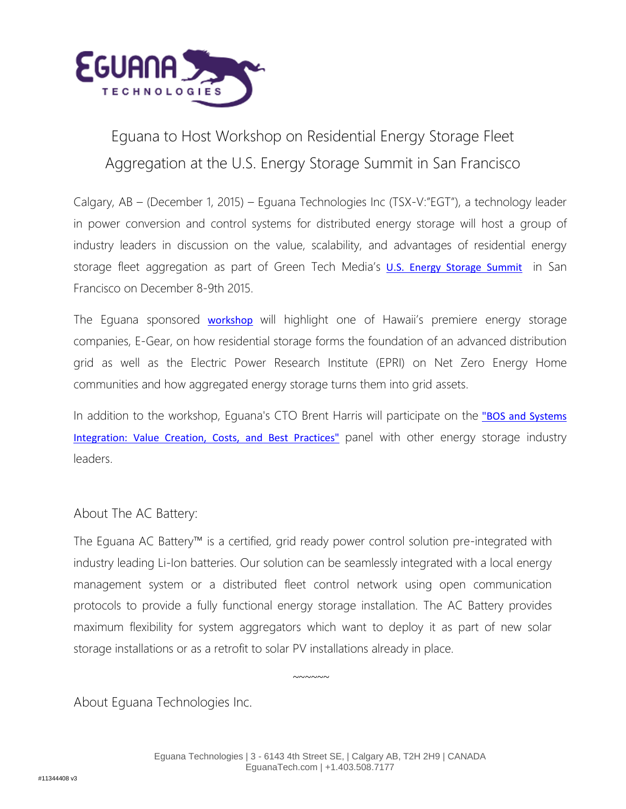

## Eguana to Host Workshop on Residential Energy Storage Fleet Aggregation at the U.S. Energy Storage Summit in San Francisco

Calgary, AB – (December 1, 2015) – Eguana Technologies Inc (TSX-V:"EGT"), a technology leader in power conversion and control systems for distributed energy storage will host a group of industry leaders in discussion on the value, scalability, and advantages of residential energy storage fleet aggregation as part of Green Tech Media's **[U.S. Energy Storage Summit](https://www.greentechmedia.com/events/live/u.s.-energy-storage-summit)** in San Francisco on December 8-9th 2015.

The Eguana sponsored **[workshop](https://www.eventbrite.com/e/residential-energy-storage-fleet-aggregation-case-studies-opportunities-tickets-19599120497)** will highlight one of Hawaii's premiere energy storage companies, E-Gear, on how residential storage forms the foundation of an advanced distribution grid as well as the Electric Power Research Institute (EPRI) on Net Zero Energy Home communities and how aggregated energy storage turns them into grid assets.

In addition to the workshop, Equana's CTO Brent Harris will participate on the "BOS and Systems [Integration: Value Creation, Costs, and Best Practices"](http://www.greentechmedia.com/events/live/u.s.-energy-storage-summit/agenda/2) panel with other energy storage industry leaders.

## About The AC Battery:

The Eguana AC Battery™ is a certified, grid ready power control solution pre-integrated with industry leading Li-Ion batteries. Our solution can be seamlessly integrated with a local energy management system or a distributed fleet control network using open communication protocols to provide a fully functional energy storage installation. The AC Battery provides maximum flexibility for system aggregators which want to deploy it as part of new solar storage installations or as a retrofit to solar PV installations already in place.

About Eguana Technologies Inc.

~~~~~~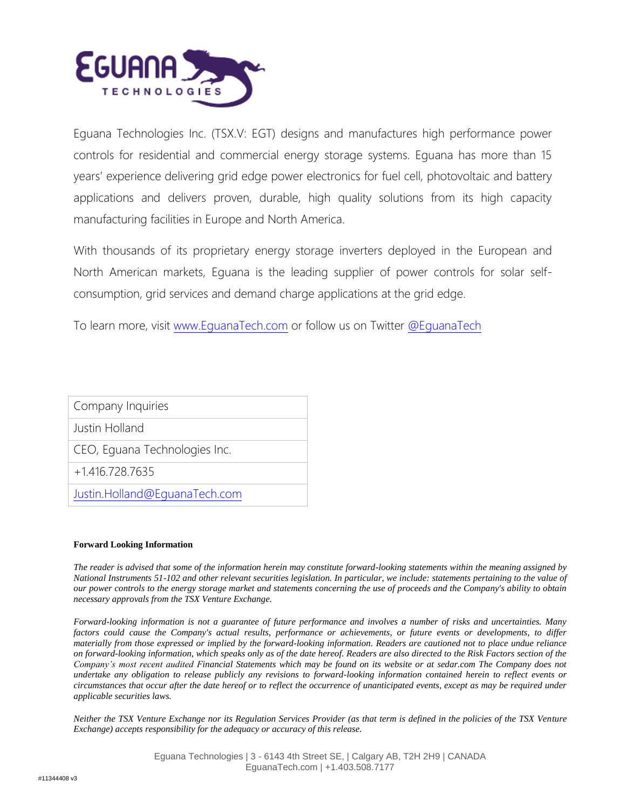

Eguana Technologies Inc. (TSX.V: EGT) designs and manufactures high performance power controls for residential and commercial energy storage systems. Eguana has more than 15 years' experience delivering grid edge power electronics for fuel cell, photovoltaic and battery applications and delivers proven, durable, high quality solutions from its high capacity manufacturing facilities in Europe and North America.

With thousands of its proprietary energy storage inverters deployed in the European and North American markets, Eguana is the leading supplier of power controls for solar selfconsumption, grid services and demand charge applications at the grid edge.

To learn more, visit [www.EguanaTech.com](http://www.eguanatech.com/) or follow us on Twitter [@EguanaTech](https://twitter.com/EguanaTech)

| Company Inquiries             |
|-------------------------------|
| Justin Holland                |
| CEO, Eguana Technologies Inc. |
| $+1.416.728.7635$             |
| Justin.Holland@EquanaTech.com |
|                               |

## **Forward Looking Information**

*The reader is advised that some of the information herein may constitute forward-looking statements within the meaning assigned by National Instruments 51-102 and other relevant securities legislation. In particular, we include: statements pertaining to the value of our power controls to the energy storage market and statements concerning the use of proceeds and the Company's ability to obtain necessary approvals from the TSX Venture Exchange.*

*Forward-looking information is not a guarantee of future performance and involves a number of risks and uncertainties. Many factors could cause the Company's actual results, performance or achievements, or future events or developments, to differ materially from those expressed or implied by the forward-looking information. Readers are cautioned not to place undue reliance on forward-looking information, which speaks only as of the date hereof. Readers are also directed to the Risk Factors section of the Company's most recent audited Financial Statements which may be found on its website or at sedar.com The Company does not undertake any obligation to release publicly any revisions to forward-looking information contained herein to reflect events or circumstances that occur after the date hereof or to reflect the occurrence of unanticipated events, except as may be required under applicable securities laws.*

*Neither the TSX Venture Exchange nor its Regulation Services Provider (as that term is defined in the policies of the TSX Venture Exchange) accepts responsibility for the adequacy or accuracy of this release.*